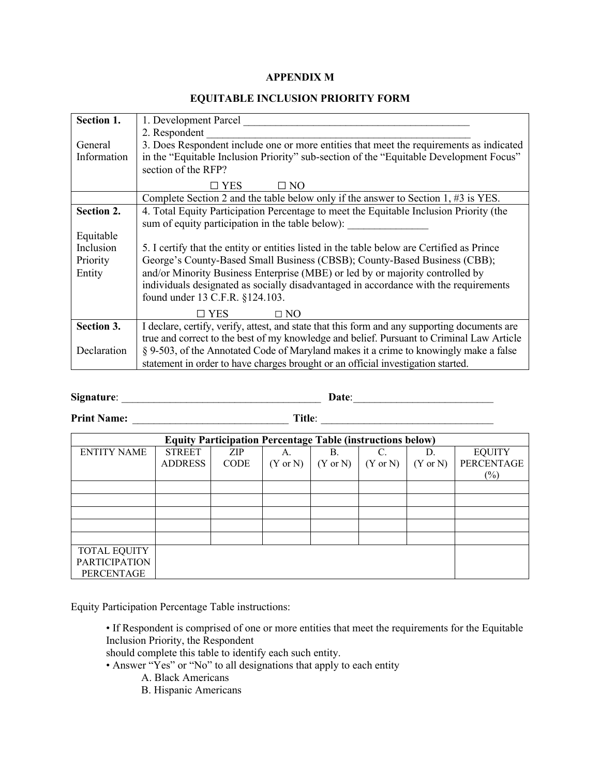## **APPENDIX M**

| Section 1.  | 1. Development Parcel                                                                         |  |  |  |  |  |  |
|-------------|-----------------------------------------------------------------------------------------------|--|--|--|--|--|--|
|             | 2. Respondent                                                                                 |  |  |  |  |  |  |
| General     | 3. Does Respondent include one or more entities that meet the requirements as indicated       |  |  |  |  |  |  |
| Information | in the "Equitable Inclusion Priority" sub-section of the "Equitable Development Focus"        |  |  |  |  |  |  |
|             | section of the RFP?                                                                           |  |  |  |  |  |  |
|             | $\square$ YES<br>$\Box$ NO                                                                    |  |  |  |  |  |  |
|             | Complete Section 2 and the table below only if the answer to Section 1, #3 is YES.            |  |  |  |  |  |  |
| Section 2.  | 4. Total Equity Participation Percentage to meet the Equitable Inclusion Priority (the        |  |  |  |  |  |  |
|             | sum of equity participation in the table below):                                              |  |  |  |  |  |  |
| Equitable   |                                                                                               |  |  |  |  |  |  |
| Inclusion   | 5. I certify that the entity or entities listed in the table below are Certified as Prince    |  |  |  |  |  |  |
| Priority    | George's County-Based Small Business (CBSB); County-Based Business (CBB);                     |  |  |  |  |  |  |
| Entity      | and/or Minority Business Enterprise (MBE) or led by or majority controlled by                 |  |  |  |  |  |  |
|             | individuals designated as socially disadvantaged in accordance with the requirements          |  |  |  |  |  |  |
|             | found under 13 C.F.R. §124.103.                                                               |  |  |  |  |  |  |
|             | $\Box$ YES<br>$\Box$ NO                                                                       |  |  |  |  |  |  |
| Section 3.  | I declare, certify, verify, attest, and state that this form and any supporting documents are |  |  |  |  |  |  |
|             | true and correct to the best of my knowledge and belief. Pursuant to Criminal Law Article     |  |  |  |  |  |  |
| Declaration | § 9-503, of the Annotated Code of Maryland makes it a crime to knowingly make a false         |  |  |  |  |  |  |
|             | statement in order to have charges brought or an official investigation started.              |  |  |  |  |  |  |

## **EQUITABLE INCLUSION PRIORITY FORM**

**Signature**: \_\_\_\_\_\_\_\_\_\_\_\_\_\_\_\_\_\_\_\_\_\_\_\_\_\_\_\_\_\_\_\_\_\_\_\_\_ **Date**:\_\_\_\_\_\_\_\_\_\_\_\_\_\_\_\_\_\_\_\_\_\_\_\_\_\_

**Print Name:** \_\_\_\_\_\_\_\_\_\_\_\_\_\_\_\_\_\_\_\_\_\_\_\_\_\_\_\_\_ **Title**: \_\_\_\_\_\_\_\_\_\_\_\_\_\_\_\_\_\_\_\_\_\_\_\_\_\_\_\_\_\_\_\_

| <b>Equity Participation Percentage Table (instructions below)</b> |                |             |                     |                     |                     |                     |               |  |  |
|-------------------------------------------------------------------|----------------|-------------|---------------------|---------------------|---------------------|---------------------|---------------|--|--|
| <b>ENTITY NAME</b>                                                | <b>STREET</b>  | <b>ZIP</b>  | А.                  | <b>B.</b>           | C.                  | D.                  | <b>EQUITY</b> |  |  |
|                                                                   | <b>ADDRESS</b> | <b>CODE</b> | $(Y \text{ or } N)$ | $(Y \text{ or } N)$ | $(Y \text{ or } N)$ | $(Y \text{ or } N)$ | PERCENTAGE    |  |  |
|                                                                   |                |             |                     |                     |                     |                     | $(\%)$        |  |  |
|                                                                   |                |             |                     |                     |                     |                     |               |  |  |
|                                                                   |                |             |                     |                     |                     |                     |               |  |  |
|                                                                   |                |             |                     |                     |                     |                     |               |  |  |
|                                                                   |                |             |                     |                     |                     |                     |               |  |  |
|                                                                   |                |             |                     |                     |                     |                     |               |  |  |
| <b>TOTAL EQUITY</b>                                               |                |             |                     |                     |                     |                     |               |  |  |
| <b>PARTICIPATION</b>                                              |                |             |                     |                     |                     |                     |               |  |  |
| PERCENTAGE                                                        |                |             |                     |                     |                     |                     |               |  |  |

Equity Participation Percentage Table instructions:

• If Respondent is comprised of one or more entities that meet the requirements for the Equitable Inclusion Priority, the Respondent

should complete this table to identify each such entity.

- Answer "Yes" or "No" to all designations that apply to each entity
	- A. Black Americans
	- B. Hispanic Americans